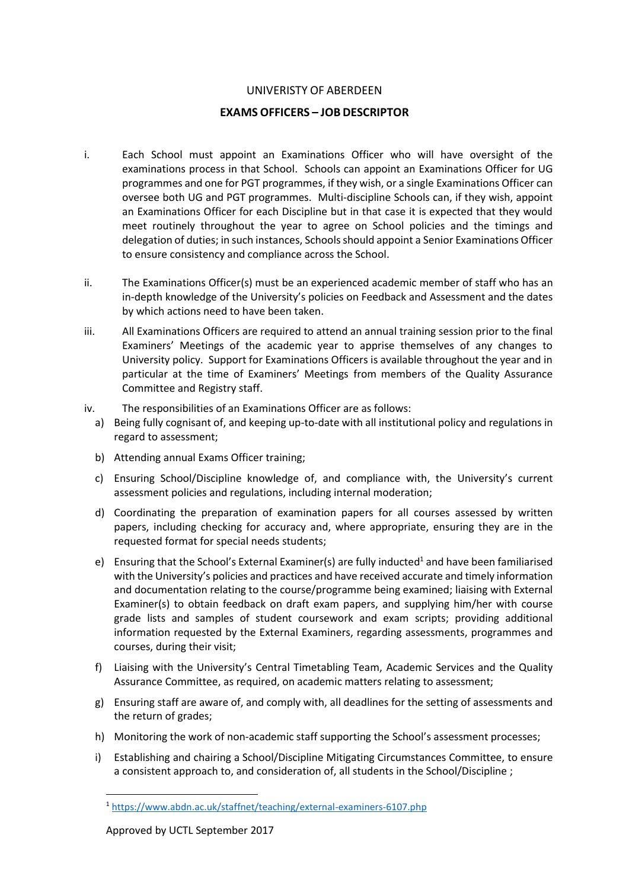## UNIVERISTY OF ABERDEEN

## **EXAMS OFFICERS – JOB DESCRIPTOR**

- i. Each School must appoint an Examinations Officer who will have oversight of the examinations process in that School. Schools can appoint an Examinations Officer for UG programmes and one for PGT programmes, if they wish, or a single Examinations Officer can oversee both UG and PGT programmes. Multi-discipline Schools can, if they wish, appoint an Examinations Officer for each Discipline but in that case it is expected that they would meet routinely throughout the year to agree on School policies and the timings and delegation of duties; in such instances, Schools should appoint a Senior Examinations Officer to ensure consistency and compliance across the School.
- ii. The Examinations Officer(s) must be an experienced academic member of staff who has an in-depth knowledge of the University's policies on Feedback and Assessment and the dates by which actions need to have been taken.
- iii. All Examinations Officers are required to attend an annual training session prior to the final Examiners' Meetings of the academic year to apprise themselves of any changes to University policy. Support for Examinations Officers is available throughout the year and in particular at the time of Examiners' Meetings from members of the Quality Assurance Committee and Registry staff.
- iv. The responsibilities of an Examinations Officer are as follows:
	- a) Being fully cognisant of, and keeping up-to-date with all institutional policy and regulations in regard to assessment;
	- b) Attending annual Exams Officer training;
	- c) Ensuring School/Discipline knowledge of, and compliance with, the University's current assessment policies and regulations, including internal moderation;
	- d) Coordinating the preparation of examination papers for all courses assessed by written papers, including checking for accuracy and, where appropriate, ensuring they are in the requested format for special needs students;
	- e) Ensuring that the School's External Examiner(s) are fully inducted<sup>1</sup> and have been familiarised with the University's policies and practices and have received accurate and timely information and documentation relating to the course/programme being examined; liaising with External Examiner(s) to obtain feedback on draft exam papers, and supplying him/her with course grade lists and samples of student coursework and exam scripts; providing additional information requested by the External Examiners, regarding assessments, programmes and courses, during their visit;
	- f) Liaising with the University's Central Timetabling Team, Academic Services and the Quality Assurance Committee, as required, on academic matters relating to assessment;
	- g) Ensuring staff are aware of, and comply with, all deadlines for the setting of assessments and the return of grades;
	- h) Monitoring the work of non-academic staff supporting the School's assessment processes;
	- i) Establishing and chairing a School/Discipline Mitigating Circumstances Committee, to ensure a consistent approach to, and consideration of, all students in the School/Discipline ;

 $\overline{\phantom{a}}$ 

<sup>1</sup> <https://www.abdn.ac.uk/staffnet/teaching/external-examiners-6107.php>